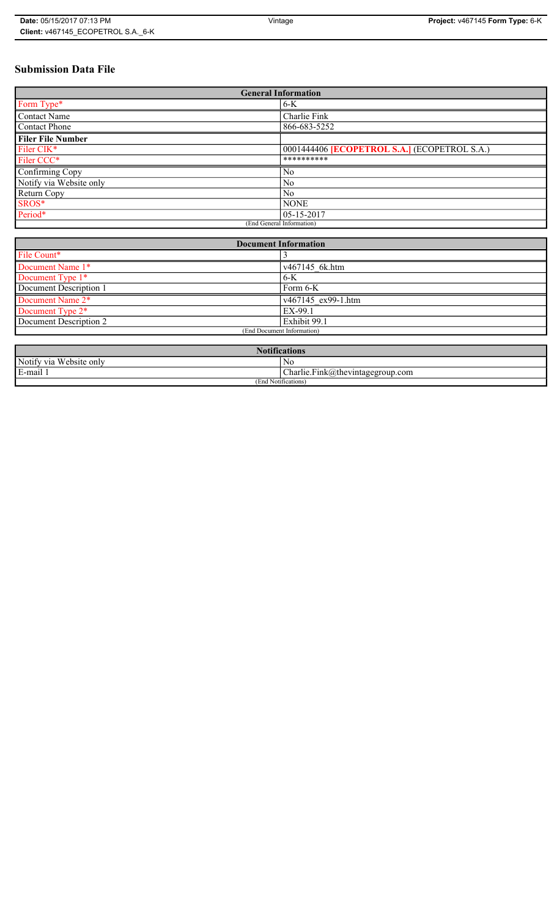# **Submission Data File**

| <b>General Information</b> |                                                   |
|----------------------------|---------------------------------------------------|
| Form Type*                 | $6-K$                                             |
| <b>Contact Name</b>        | Charlie Fink                                      |
| <b>Contact Phone</b>       | 866-683-5252                                      |
| <b>Filer File Number</b>   |                                                   |
| Filer CIK <sup>*</sup>     | 0001444406 <b>ECOPETROL S.A.</b> (ECOPETROL S.A.) |
| Filer CCC*                 | **********                                        |
| Confirming Copy            | No                                                |
| Notify via Website only    | N <sub>0</sub>                                    |
| Return Copy                | N <sub>0</sub>                                    |
| SROS*                      | <b>NONE</b>                                       |
| Period*                    | $05 - 15 - 2017$                                  |
| (End General Information)  |                                                   |

| <b>Document Information</b>  |                    |
|------------------------------|--------------------|
| File Count*                  |                    |
| Document Name 1*             | v467145 6k.htm     |
| Document Type 1*             | $6-K$              |
| Document Description 1       | Form 6-K           |
| Document Name 2*             | v467145 ex99-1.htm |
| Document Type 2 <sup>*</sup> | EX-99.1            |
| Document Description 2       | Exhibit 99.1       |
| (End Document Information)   |                    |
|                              |                    |

| <b>Notifications</b>         |                                  |
|------------------------------|----------------------------------|
| Notify via<br>U Website only | No                               |
| E-mail                       | Charlie.Fink@thevintagegroup.com |
| (End Notifications)          |                                  |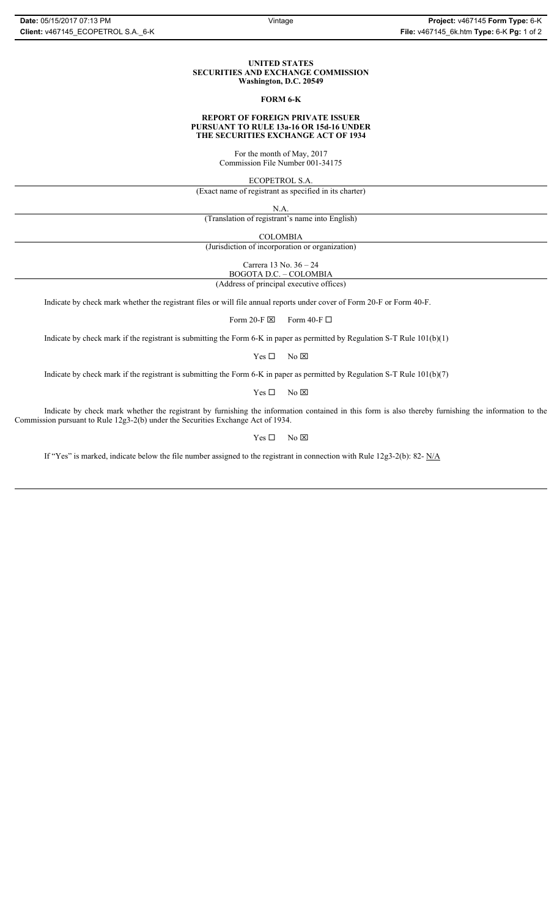#### **UNITED STATES SECURITIES AND EXCHANGE COMMISSION Washington, D.C. 20549**

#### **FORM 6-K**

#### **REPORT OF FOREIGN PRIVATE ISSUER PURSUANT TO RULE 13a-16 OR 15d-16 UNDER THE SECURITIES EXCHANGE ACT OF 1934**

For the month of May, 2017 Commission File Number 001-34175

ECOPETROL S.A.

(Exact name of registrant as specified in its charter)

N.A.

(Translation of registrant's name into English)

COLOMBIA

(Jurisdiction of incorporation or organization)

Carrera 13 No. 36 – 24

BOGOTA D.C. – COLOMBIA (Address of principal executive offices)

Indicate by check mark whether the registrant files or will file annual reports under cover of Form 20-F or Form 40-F.

Form 20-F  $\boxtimes$  Form 40-F  $\Box$ 

Indicate by check mark if the registrant is submitting the Form 6-K in paper as permitted by Regulation S-T Rule 101(b)(1)

 $Yes \Box$  No  $\boxtimes$ 

Indicate by check mark if the registrant is submitting the Form 6-K in paper as permitted by Regulation S-T Rule 101(b)(7)

 $Yes \Box$  No  $\boxtimes$ 

Indicate by check mark whether the registrant by furnishing the information contained in this form is also thereby furnishing the information to the Commission pursuant to Rule 12g3-2(b) under the Securities Exchange Act of 1934.

 $Yes \Box$  No  $\boxtimes$ 

If "Yes" is marked, indicate below the file number assigned to the registrant in connection with Rule 12g3-2(b): 82- N/A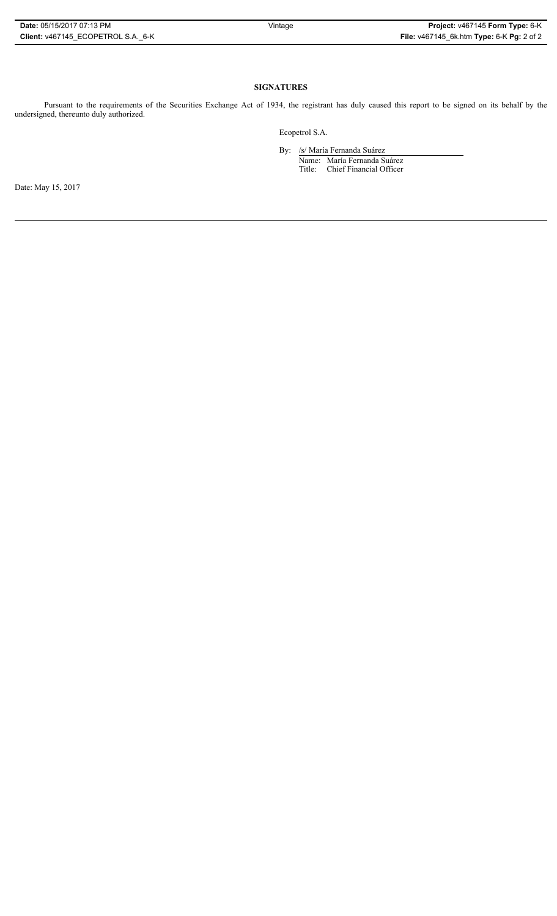## **SIGNATURES**

Pursuant to the requirements of the Securities Exchange Act of 1934, the registrant has duly caused this report to be signed on its behalf by the undersigned, thereunto duly authorized.

Ecopetrol S.A.

By: /s/ María Fernanda Suárez Name: María Fernanda Suárez Title: Chief Financial Officer

Date: May 15, 2017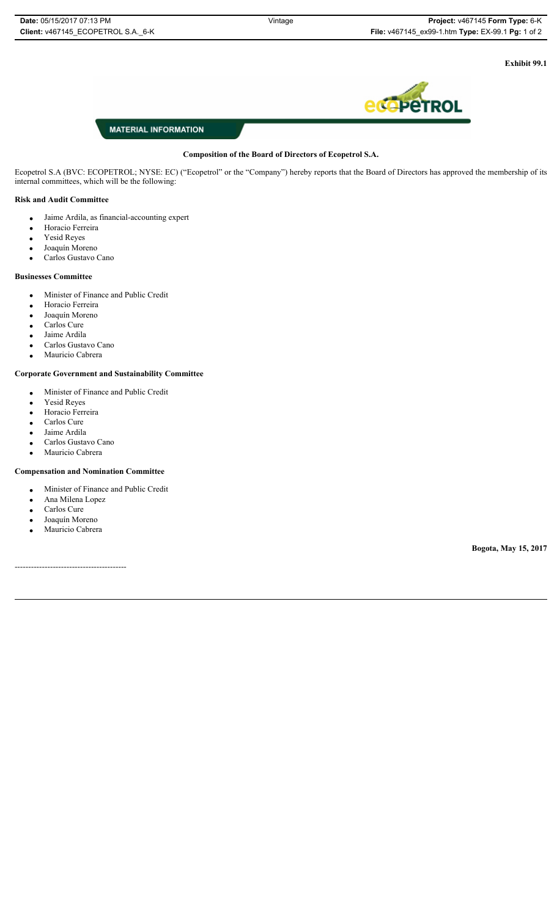**Exhibit 99.1**



# **MATERIAL INFORMATION**

### **Composition of the Board of Directors of Ecopetrol S.A.**

Ecopetrol S.A (BVC: ECOPETROL; NYSE: EC) ("Ecopetrol" or the "Company") hereby reports that the Board of Directors has approved the membership of its internal committees, which will be the following:

## **Risk and Audit Committee**

- Jaime Ardila, as financial-accounting expert
- Horacio Ferreira
- Yesid Reyes
- Joaquín Moreno
- Carlos Gustavo Cano

### **Businesses Committee**

- x Minister of Finance and Public Credit
- · Horacio Ferreira
- Joaquín Moreno
- Carlos Cure
- Jaime Ardila
- Carlos Gustavo Cano
- Mauricio Cabrera

### **Corporate Government and Sustainability Committee**

- x Minister of Finance and Public Credit
- Yesid Reyes
- · Horacio Ferreira
- $\bullet$  Carlos Cure
- Jaime Ardila
- Carlos Gustavo Cano
- Mauricio Cabrera

#### **Compensation and Nomination Committee**

- Minister of Finance and Public Credit
- Ana Milena Lopez
- Carlos Cure
- Joaquín Moreno
- Mauricio Cabrera

-----------------------------------------